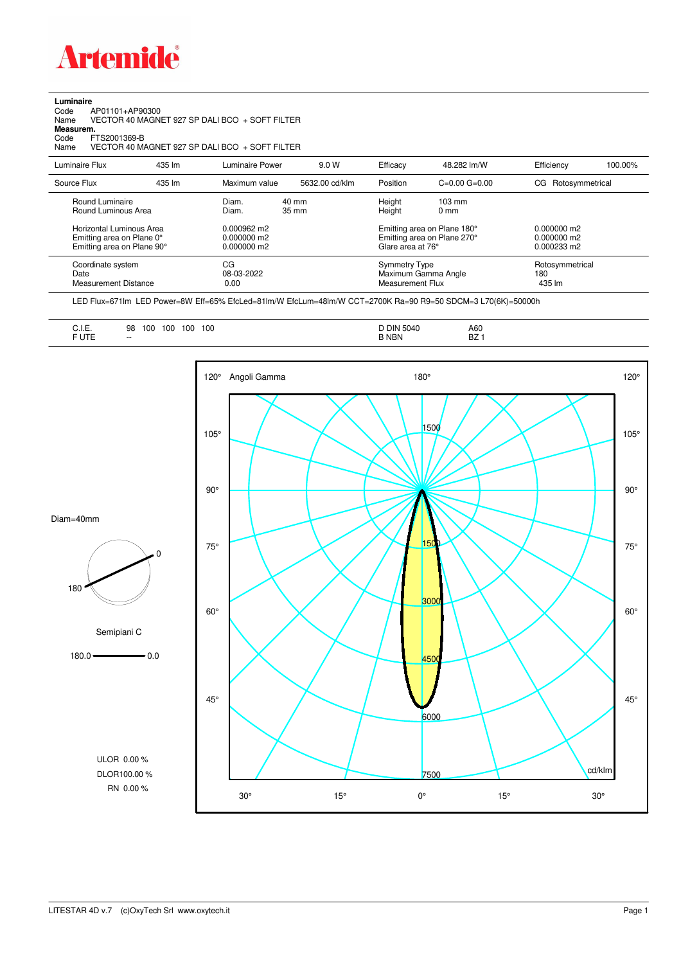

**Luminaire**

| Code<br>AP01101+AP90300<br>Name<br>Measurem.<br>FTS2001369-B<br>Code<br>Name        |        | VECTOR 40 MAGNET 927 SP DALI BCO + SOFT FILTER<br>VECTOR 40 MAGNET 927 SP DALI BCO + SOFT FILTER |                |                                                                                 |                                     |                                             |         |
|-------------------------------------------------------------------------------------|--------|--------------------------------------------------------------------------------------------------|----------------|---------------------------------------------------------------------------------|-------------------------------------|---------------------------------------------|---------|
| Luminaire Flux                                                                      | 435 lm | Luminaire Power                                                                                  | 9.0 W          | Efficacy                                                                        | 48.282 lm/W                         | Efficiency                                  | 100.00% |
| Source Flux                                                                         | 435 lm | Maximum value                                                                                    | 5632.00 cd/klm | Position                                                                        | $C=0.00$ $G=0.00$                   | Rotosymmetrical<br>CG.                      |         |
| Round Luminaire<br>Round Luminous Area                                              |        | $40 \text{ mm}$<br>Diam.<br>35 mm<br>Diam.                                                       |                | Height<br>Height                                                                | $103 \text{ mm}$<br>0 <sub>mm</sub> |                                             |         |
| Horizontal Luminous Area<br>Emitting area on Plane 0°<br>Emitting area on Plane 90° |        | $0.000962 \text{ m}$<br>0.000000 m2<br>0.000000 m2                                               |                | Emitting area on Plane 180°<br>Emitting area on Plane 270°<br>Glare area at 76° |                                     | $0.000000$ m2<br>0.000000 m2<br>0.000233 m2 |         |
| Coordinate system<br>Date<br><b>Measurement Distance</b>                            |        | CG<br>08-03-2022<br>0.00                                                                         |                | <b>Symmetry Type</b><br><b>Measurement Flux</b>                                 | Maximum Gamma Angle                 | Rotosymmetrical<br>180<br>435 lm            |         |

LED Flux=671lm LED Power=8W Eff=65% EfcLed=81lm/W EfcLum=48lm/W CCT=2700K Ra=90 R9=50 SDCM=3 L70(6K)=50000h